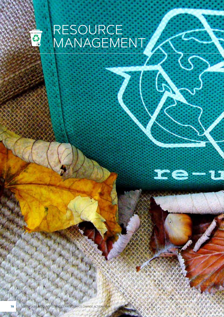

 $\mathbf{r}$ e $-\imath$ 

Ĵ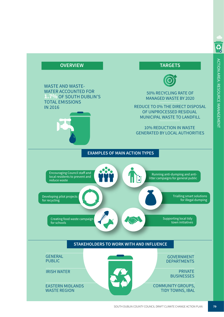

S<sub>o</sub>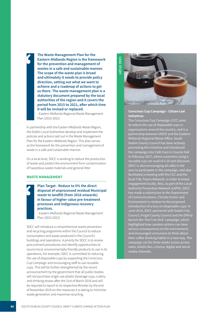**The Waste Management Plan for the Eastern-Midlands Region is the framework**  i **for the prevention and management of wastes in a safe and sustainable manner. The scope of the waste plan is broad and ultimately it needs to provide policy direction, setting out what we want to achieve and a roadmap of actions to get us there. The waste management plan is a statutory document prepared by the local authorities of the region and it covers the period from 2015 to 2021, after which time it will be revised or replaced.** 

- Eastern-Midlands Regional Waste Management Plan (2015-2021)

In partnership with the Eastern Midlands Waste Region, the Dublin Local Authorities develop and implement the policies and actions laid out in the Waste Management Plan for the Eastern-Midlands Region. This plan serves as the framework for the prevention and management of waste in a safe and sustainable manner.

On a local level, SDCC is working to reduce the production of waste and protect the environment from contamination of hazardous waste materials and general litter.

### **WASTE MANAGEMENT**

**Plan Target - Reduce to 0% the direct disposal of unprocessed residual Municipal**  i **waste to landfill (from 2016 onwards) in favour of higher value pre-treatment processes and indigenous recovery practices.** 

- Eastern-Midlands Regional Waste Management Plan (2015-2021)

SDCC will introduce a comprehensive waste prevention and recycling programme within the Council to reduce consumption and waste produced in the Council's buildings and operations. A priority for SDCC is to review procurement procedures and identify opportunities to source local, environmentally-friendly products to use in its operations. For example, SDCC is committed to reducing the use of disposable cups by supporting the Conscious Cup Campaign and encouraging staff to use reusable cups. This will be further strengthened by the recent announcement by the government that all public bodies will not purchase single-use plastic beverage cups, cutlery and drinking straws after the 31st of March 2019 and will be required to report to its respective Minister by the end of November 2019 on the measures it is taking to minimise waste generation and maximise recycling.



#### **Conscious Cup Campaign - Citizen Led Initiatives**

The Conscious Cup Campaign (CCC) aims to reduce the use of disposable cups in organisations around the country, and is a partnership between VOICE and the Eastern-Midlands Regional Waste Office. South Dublin County Council has been actively promoting this initiative and introduced the campaign into Café Coco in County Hall in February 2017, where customers using a reusable cup can avail of a 10 cent discount. SDCC is also encouraging all cafés in the area to participate in the campaign, and also facilitated a meeting with the CCC and the local Tidy Towns Network, in order to boost engagement locally. Also, as part of the Local Authority Prevention Network (LAPN), SDCC has made a submission to the Department of Communications, Climate Action and Environment in relation to the proposed introduction of a levy on disposable cups. In June 2018, SDCC partnered with Dublin City Council, Fingal County Council and the EPA to launch the 'Don't be Dick' campaign, which highlighted how careless actions can have serious consequences on the environment, and encouraged consumers to think about their coffee drinking habits in a new way. The campaign ran for three weeks across across radio, Dublin Bus, cinema, digital and social media channels.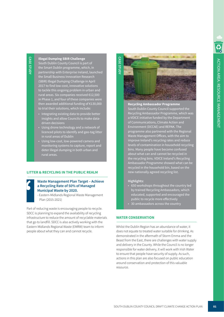# **Illegal Dumping SBIR Challenge**

South Dublin County Council is part of the Smart Dublin programme, which, in partnership with Enterprise Ireland, launched the Small Business Innovation Research (SBIR) Illegal Dumping Challenge in April 2017 to find low-cost, innovative solutions to tackle this ongoing problem in urban and rural areas. Six companies received €12,500 in Phase 1, and four of these companies were then awarded additional funding of €130,000 to trial their solutions, which include:

- Integrating existing data to provide better insights and allow Councils to make datadriven decisions
- Using drone technology and a network of licenced pilots to identify and geo-tag litter in rural areas of Dublin
- Using low-cost, low-powered camera and monitoring systems to capture, report and deter illegal dumping in both urban and rural areas.

# **LITTER & RECYCLING IN THE PUBLIC REALM**

# **Waste Management Plan Target – Achieve a Recycling Rate of 50% of Managed**  i **Municipal Waste by 2020.**

- Eastern-Midlands Regional Waste Management Plan (2015-2021)

Part of reducing waste is encouraging people to recycle. SDCC is planning to expand the availability of recycling infrastructure to reduce the amount of recyclable materials that go to landfill. SDCC is also actively working with the Eastern Midlands Regional Waste (EMRW) team to inform people about what they can and cannot recycle.



**Recycling Ambassador Programme** South Dublin County Council supported the Recycling Ambassador Programme, which was a VOICE initiative funded by the Department of Communications, Climate Action and Environment (DCCAE) and REPAK. The programme also partnered with the Regional Waste Management Offices, with the aim to improve Ireland's recycling rates and reduce levels of contamination in household recycling bins. Many people have become confused about what can and cannot be recycled in the recycling bins. VOICE Ireland's Recycling Ambassador Programme showed what can be recycled in the household bin, based on the new nationally agreed recycling list.

# **Highlights:**

- 650 workshops throughout the country led by trained Recycling Ambassadors, which educated, supported and encouraged the public to recycle more effectively
- 30 ambassadors across the country

# **WATER CONSERVATION**

Whilst the Dublin Region has an abundance of water, it does not equate to treated water suitable for drinking. As demonstrated in the aftermath of Storm Emma and the Beast from the East, there are challenges with water supply and delivery in the County. While the Council is no longer responsible for water delivery, it will work with Irish Water to ensure that people have security of supply. As such, actions in this plan are also focused on public education around conservation and protection of this valuable resource.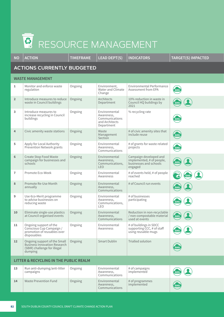# 马 RESOURCE MANAGEMENT

| <b>NO</b>                                         | <b>ACTION</b>                                                                                                  | <b>TIMEFRAME</b> | <b>LEAD DEPT(S)</b>                                                           | <b>INDICATORS</b>                                                                        | <b>TARGET(S) IMPACTED</b> |  |  |  |
|---------------------------------------------------|----------------------------------------------------------------------------------------------------------------|------------------|-------------------------------------------------------------------------------|------------------------------------------------------------------------------------------|---------------------------|--|--|--|
| <b>ACTIONS CURRENTLY BUDGETED</b>                 |                                                                                                                |                  |                                                                               |                                                                                          |                           |  |  |  |
| <b>WASTE MANAGEMENT</b>                           |                                                                                                                |                  |                                                                               |                                                                                          |                           |  |  |  |
| $\mathbf{1}$                                      | Monitor and enforce waste<br>regulation                                                                        | Ongoing          | Environment,<br>Water and Climate<br>Change                                   | Environmental Performance<br>Assessment from EPA                                         | GHG                       |  |  |  |
| $\overline{2}$                                    | Introduce measures to reduce<br>waste in Council buildings                                                     | Ongoing          | Architects<br>Department                                                      | 10% reduction in waste in<br>Council HQ buildings by<br>2021                             |                           |  |  |  |
| 3                                                 | Introduce measures to<br>increase recycling in Council<br>buildings                                            | Ongoing          | Environmental<br>Awareness,<br>Communications<br>and Architects<br>Department | % recycling rate                                                                         | GHG                       |  |  |  |
| 4                                                 | Civic amenity waste stations                                                                                   | Ongoing          | Waste<br>Management<br>Section                                                | # of civic amenity sites that<br>include reuse                                           | GHG                       |  |  |  |
| 5                                                 | Apply for Local Authority<br>Prevention Network grants                                                         | Ongoing          | Environmental<br>Awareness,<br>Communications                                 | # of grants for waste related<br>projects                                                | GHG                       |  |  |  |
| 6                                                 | Create Stop Food Waste<br>campaign for businesses and<br>schools                                               | Ongoing          | Environmental<br>Awareness,<br>Communications,<br><b>LEO</b>                  | Campaign developed and<br>implemented, # of people,<br>businesses and schools<br>engaged |                           |  |  |  |
| $\overline{1}$                                    | Promote Eco-Week                                                                                               | Ongoing          | Environmental<br>Awareness                                                    | # of events held, # of people<br>reached                                                 | <b>GHG</b>                |  |  |  |
| 8                                                 | Promote Re-Use Month<br>annually                                                                               | Ongoing          | Environmental<br>Awareness,<br>Communications                                 | # of Council run events                                                                  |                           |  |  |  |
| 9                                                 | Use €co-Merit programme<br>to advise businesses on<br>reducing waste                                           | Ongoing          | Environmental<br>Awareness,<br>Communications,<br>LEO                         | # of businesses<br>participating                                                         |                           |  |  |  |
| 10                                                | Eliminate single-use plastics<br>at Council organised events                                                   | Ongoing          | Environmental<br>Awareness,<br>Communications                                 | Reduction in non-recyclable<br>/ non-compostable material<br>used at events              | GHG                       |  |  |  |
| 11                                                | Ongoing support of the<br>Conscious Cup Campaign /<br>promotion of reusables over<br>disposables               | Ongoing          | Environmental<br>Awareness                                                    | # of buildings in SDCC<br>supporting CCC, # of staff<br>using reusable mugs              |                           |  |  |  |
| 12 <sup>2</sup>                                   | Ongoing support of the Small<br><b>Business Innovation Research</b><br>(SBIR) challenge for illegal<br>dumping | Ongoing          | <b>Smart Dublin</b>                                                           | <b>Trialled solution</b>                                                                 | GHG                       |  |  |  |
| <b>LITTER &amp; RECYCLING IN THE PUBLIC REALM</b> |                                                                                                                |                  |                                                                               |                                                                                          |                           |  |  |  |
|                                                   |                                                                                                                |                  |                                                                               |                                                                                          |                           |  |  |  |

| 13 | Run anti-dumping/anti-litter<br>campaigns | Ongoing | Environmental<br>Awareness,<br>Communications | # of campaigns<br>implemented    | $\sqrt{GHG}$              |
|----|-------------------------------------------|---------|-----------------------------------------------|----------------------------------|---------------------------|
| 14 | Waste Prevention Fund                     | Ongoing | Environmental<br>Awareness,<br>Communications | $#$ of programmes<br>implemented | $\epsilon$ <sub>GHG</sub> |